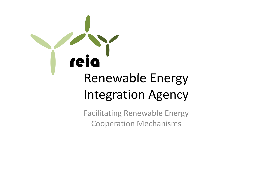

Facilitating Renewable Energy Cooperation Mechanisms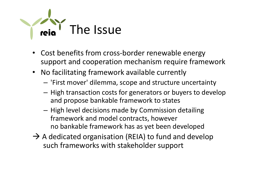

- Cost benefits from cross-border renewable energy support and cooperation mechanism require framework
- No facilitating framework available currently
	- 'First mover' dilemma, scope and structure uncertainty
	- High transaction costs for generators or buyers to develop and propose bankable framework to states
	- High level decisions made by Commission detailing framework and model contracts, however no bankable framework has as yet been developed
- $\rightarrow$  A dedicated organisation (REIA) to fund and develop such frameworks with stakeholder support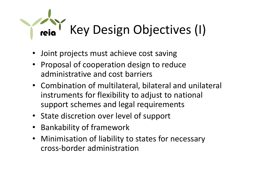### Key Design Objectives (I)

- Joint projects must achieve cost saving
- Proposal of cooperation design to reduce administrative and cost barriers
- Combination of multilateral, bilateral and unilateral instruments for flexibility to adjust to national support schemes and legal requirements
- State discretion over level of support
- Bankability of framework
- Minimisation of liability to states for necessary cross-border administration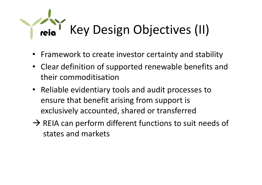## Key Design Objectives (II)

- Framework to create investor certainty and stability
- Clear definition of supported renewable benefits and their commoditisation
- Reliable evidentiary tools and audit processes to ensure that benefit arising from support is exclusively accounted, shared or transferred
- $\rightarrow$  REIA can perform different functions to suit needs of states and markets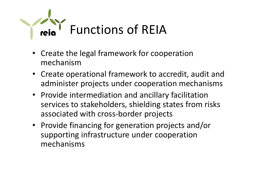

- Create the legal framework for cooperation mechanism
- Create operational framework to accredit, audit and administer projects under cooperation mechanisms
- Provide intermediation and ancillary facilitation services to stakeholders, shielding states from risks associated with cross-border projects
- Provide financing for generation projects and/or supporting infrastructure under cooperation mechanisms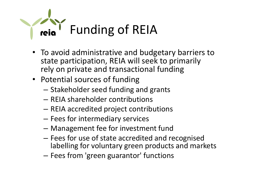

- To avoid administrative and budgetary barriers to state participation, REIA will seek to primarily rely on private and transactional funding
- Potential sources of funding
	- Stakeholder seed funding and grants
	- REIA shareholder contributions
	- REIA accredited project contributions
	- Fees for intermediary services
	- Management fee for investment fund
	- Fees for use of state accredited and recognised labelling for voluntary green products and markets
	- Fees from 'green guarantor' functions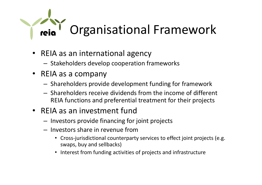# Organisational Framework

- REIA as an international agency
	- Stakeholders develop cooperation frameworks
- REIA as a company
	- Shareholders provide development funding for framework
	- Shareholders receive dividends from the income of different REIA functions and preferential treatment for their projects
- REIA as an investment fund
	- Investors provide financing for joint projects
	- Investors share in revenue from
		- Cross-jurisdictional counterparty services to effect joint projects (e.g. swaps, buy and sellbacks)
		- Interest from funding activities of projects and infrastructure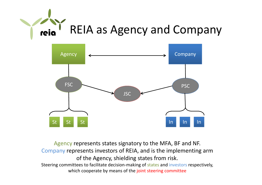



Agency represents states signatory to the MFA, BF and NF. Company represents investors of REIA, and is the implementing arm of the Agency, shielding states from risk. Steering committees to facilitate decision-making of states and investors respectively, which cooperate by means of the joint steering committee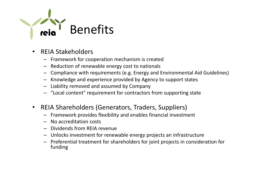

- REIA Stakeholders
	- Framework for cooperation mechanism is created
	- Reduction of renewable energy cost to nationals
	- Compliance with requirements (e.g. Energy and Environmental Aid Guidelines)
	- Knowledge and experience provided by Agency to support states
	- Liability removed and assumed by Company
	- "Local content" requirement for contractors from supporting state
- REIA Shareholders (Generators, Traders, Suppliers)
	- Framework provides flexibility and enables financial investment
	- No accreditation costs
	- Dividends from REIA revenue
	- Unlocks investment for renewable energy projects an infrastructure
	- Preferential treatment for shareholders for joint projects in consideration for funding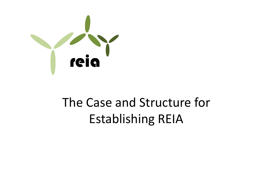

#### The Case and Structure for Establishing REIA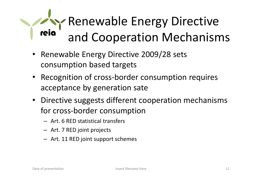#### Renewable Energy Directive reig and Cooperation Mechanisms

- Renewable Energy Directive 2009/28 sets consumption based targets
- Recognition of cross-border consumption requires acceptance by generation sate
- Directive suggests different cooperation mechanisms for cross-border consumption
	- Art. 6 RED statistical transfers
	- Art. 7 RED joint projects
	- Art. 11 RED joint support schemes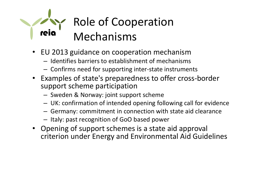#### Role of Cooperation reig Mechanisms

- EU 2013 guidance on cooperation mechanism
	- Identifies barriers to establishment of mechanisms
	- Confirms need for supporting inter-state instruments
- Examples of state's preparedness to offer cross-border support scheme participation
	- Sweden & Norway: joint support scheme
	- UK: confirmation of intended opening following call for evidence
	- Germany: commitment in connection with state aid clearance
	- Italy: past recognition of GoO based power
- Opening of support schemes is a state aid approval criterion under Energy and Environmental Aid Guidelines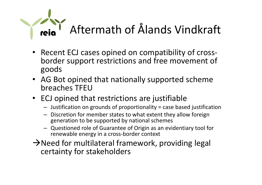# Aftermath of Ålands Vindkraft

- Recent ECJ cases opined on compatibility of crossborder support restrictions and free movement of goods
- AG Bot opined that nationally supported scheme breaches TFEU
- ECJ opined that restrictions are justifiable
	- Justification on grounds of proportionality = case based justification
	- Discretion for member states to what extent they allow foreign generation to be supported by national schemes
	- Questioned role of Guarantee of Origin as an evidentiary tool for renewable energy in a cross-border context
- $\rightarrow$  Need for multilateral framework, providing legal certainty for stakeholders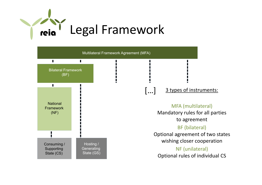

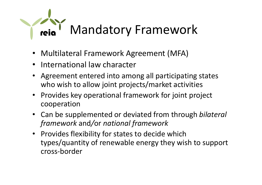

- Multilateral Framework Agreement (MFA)
- International law character
- Agreement entered into among all participating states who wish to allow joint projects/market activities
- Provides key operational framework for joint project cooperation
- Can be supplemented or deviated from through *bilateral framework* and*/*or *national framework*
- Provides flexibility for states to decide which types/quantity of renewable energy they wish to support cross-border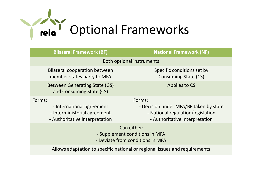

| <b>Bilateral Framework (BF)</b>                                                                       | <b>National Framework (NF)</b>                                                                                          |
|-------------------------------------------------------------------------------------------------------|-------------------------------------------------------------------------------------------------------------------------|
| <b>Both optional instruments</b>                                                                      |                                                                                                                         |
| <b>Bilateral cooperation between</b><br>member states party to MFA                                    | Specific conditions set by<br><b>Consuming State (CS)</b>                                                               |
| <b>Between Generating State (GS)</b><br>and Consuming State (CS)                                      | Applies to CS                                                                                                           |
| Forms:<br>- International agreement<br>- Interministerial agreement<br>- Authoritative interpretation | Forms:<br>- Decision under MFA/BF taken by state<br>- National regulation/legislation<br>- Authoritative interpretation |
| Can either:<br>- Supplement conditions in MFA<br>- Deviate from conditions in MFA                     |                                                                                                                         |

Allows adaptation to specific national or regional issues and requirements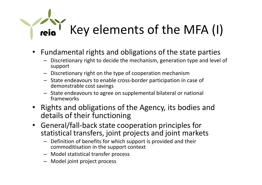#### Key elements of the MFA (I)

- Fundamental rights and obligations of the state parties
	- Discretionary right to decide the mechanism, generation type and level of support
	- Discretionary right on the type of cooperation mechanism
	- State endeavours to enable cross-border participation in case of demonstrable cost savings
	- State endeavours to agree on supplemental bilateral or national frameworks
- Rights and obligations of the Agency, its bodies and details of their functioning
- General/fall-back state cooperation principles for statistical transfers, joint projects and joint markets
	- Definition of benefits for which support is provided and their commoditisation in the support context
	- Model statistical transfer process
	- Model joint project process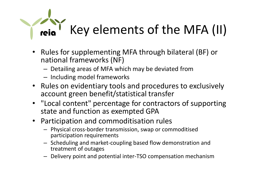### Key elements of the MFA (II)

- Rules for supplementing MFA through bilateral (BF) or national frameworks (NF)
	- Detailing areas of MFA which may be deviated from
	- Including model frameworks
- Rules on evidentiary tools and procedures to exclusively account green benefit/statistical transfer
- "Local content" percentage for contractors of supporting state and function as exempted GPA
- Participation and commoditisation rules
	- Physical cross-border transmission, swap or commoditised participation requirements
	- Scheduling and market-coupling based flow demonstration and treatment of outages
	- Delivery point and potential inter-TSO compensation mechanism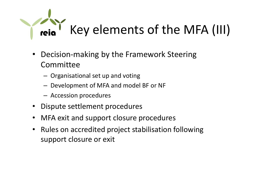## Key elements of the MFA (III)

- Decision-making by the Framework Steering Committee
	- Organisational set up and voting
	- Development of MFA and model BF or NF
	- Accession procedures
- Dispute settlement procedures
- MFA exit and support closure procedures
- Rules on accredited project stabilisation following support closure or exit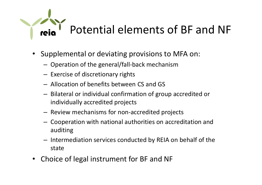# Potential elements of BF and NF

- Supplemental or deviating provisions to MFA on:
	- Operation of the general/fall-back mechanism
	- Exercise of discretionary rights
	- Allocation of benefits between CS and GS
	- Bilateral or individual confirmation of group accredited or individually accredited projects
	- Review mechanisms for non-accredited projects
	- Cooperation with national authorities on accreditation and auditing
	- Intermediation services conducted by REIA on behalf of the state
- Choice of legal instrument for BF and NF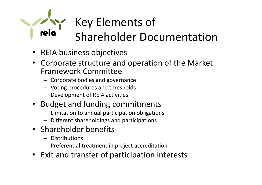#### Key Elements of Shareholder Documentation

- REIA business objectives
- Corporate structure and operation of the Market Framework Committee
	- Corporate bodies and governance
	- Voting procedures and thresholds
	- Development of REIA activities
- Budget and funding commitments
	- Limitation to annual participation obligations
	- Different shareholdings and participations
- Shareholder benefits
	- Distributions
	- Preferential treatment in project accreditation
- Exit and transfer of participation interests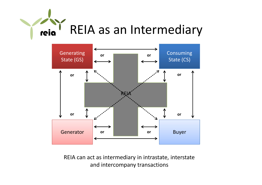



REIA can act as intermediary in intrastate, interstate and intercompany transactions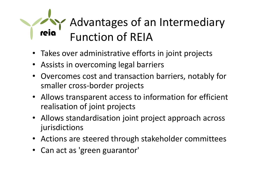#### Advantages of an Intermediary reia Function of REIA

- Takes over administrative efforts in joint projects
- Assists in overcoming legal barriers
- Overcomes cost and transaction barriers, notably for smaller cross-border projects
- Allows transparent access to information for efficient realisation of joint projects
- Allows standardisation joint project approach across jurisdictions
- Actions are steered through stakeholder committees
- Can act as 'green guarantor'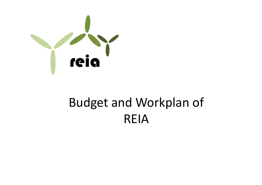

#### Budget and Workplan of REIA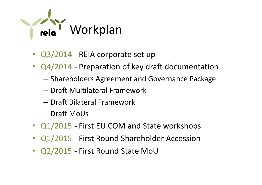

- Q3/2014 REIA corporate set up
- Q4/2014 Preparation of key draft documentation
	- Shareholders Agreement and Governance Package
	- Draft Multilateral Framework
	- Draft Bilateral Framework
	- Draft MoUs
- Q1/2015 First EU COM and State workshops
- Q1/2015 First Round Shareholder Accession
- Q2/2015 First Round State MoU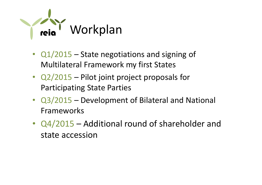

- Q1/2015 State negotiations and signing of Multilateral Framework my first States
- Q2/2015 Pilot joint project proposals for Participating State Parties
- Q3/2015 Development of Bilateral and National Frameworks
- Q4/2015 Additional round of shareholder and state accession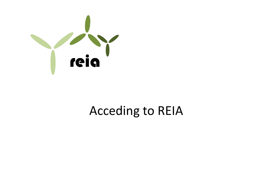

#### Acceding to REIA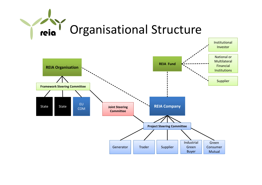

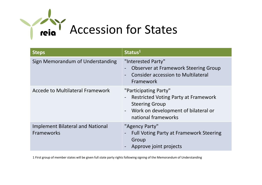

| <b>Steps</b>                                          | Status <sup>1</sup>                                                                                                                                                           |
|-------------------------------------------------------|-------------------------------------------------------------------------------------------------------------------------------------------------------------------------------|
| Sign Memorandum of Understanding                      | "Interested Party"<br><b>Observer at Framework Steering Group</b><br><b>Consider accession to Multilateral</b><br>Framework                                                   |
| Accede to Multilateral Framework                      | "Participating Party"<br><b>Restricted Voting Party at Framework</b><br><b>Steering Group</b><br>Work on development of bilateral or<br>$\blacksquare$<br>national frameworks |
| <b>Implement Bilateral and National</b><br>Frameworks | "Agency Party"<br><b>Full Voting Party at Framework Steering</b><br>Group<br>Approve joint projects                                                                           |

1 First group of member states will be given full state party rights following signing of the Memorandum of Understanding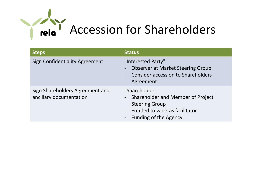

| <b>Steps</b>                                               | <b>Status</b>                                                                                                                                    |
|------------------------------------------------------------|--------------------------------------------------------------------------------------------------------------------------------------------------|
| Sign Confidentiality Agreement                             | "Interested Party"<br><b>Observer at Market Steering Group</b><br>Consider accession to Shareholders<br>Agreement                                |
| Sign Shareholders Agreement and<br>ancillary documentation | "Shareholder"<br>- Shareholder and Member of Project<br><b>Steering Group</b><br>Entitled to work as facilitator<br><b>Funding of the Agency</b> |